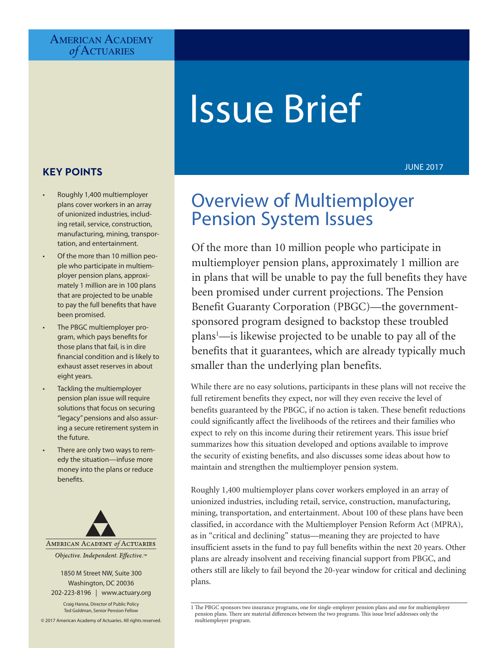#### AMERICAN ACADEMY *of* Actuaries

# Issue Brief

### **KEY POINTS**

- Roughly 1,400 multiemployer plans cover workers in an array of unionized industries, including retail, service, construction, manufacturing, mining, transportation, and entertainment.
- Of the more than 10 million people who participate in multiemployer pension plans, approximately 1 million are in 100 plans that are projected to be unable to pay the full benefits that have been promised.
- The PBGC multiemployer program, which pays benefits for those plans that fail, is in dire financial condition and is likely to exhaust asset reserves in about eight years.
- Tackling the multiemployer pension plan issue will require solutions that focus on securing "legacy" pensions and also assuring a secure retirement system in the future.
- There are only two ways to remedy the situation—infuse more money into the plans or reduce benefits.



202-223-8196 | [www.actuary.org](http://www.actuary.org) Craig Hanna, Director of Public Policy Ted Goldman, Senior Pension Fellow

© 2017 American Academy of Actuaries. All rights reserved.

#### JUNE 2017

# Overview of Multiemployer Pension System Issues

Of the more than 10 million people who participate in multiemployer pension plans, approximately 1 million are in plans that will be unable to pay the full benefits they have been promised under current projections. The Pension Benefit Guaranty Corporation (PBGC)—the governmentsponsored program designed to backstop these troubled plans <sup>1</sup>—is likewise projected to be unable to pay all of the benefits that it guarantees, which are already typically much smaller than the underlying plan benefits.

While there are no easy solutions, participants in these plans will not receive the full retirement benefits they expect, nor will they even receive the level of benefits guaranteed by the PBGC, if no action is taken. These benefit reductions could significantly affect the livelihoods of the retirees and their families who expect to rely on this income during their retirement years. This issue brief summarizes how this situation developed and options available to improve the security of existing benefits, and also discusses some ideas about how to maintain and strengthen the multiemployer pension system.

Roughly 1,400 multiemployer plans cover workers employed in an array of unionized industries, including retail, service, construction, manufacturing, mining, transportation, and entertainment. About 100 of these plans have been classified, in accordance with the Multiemployer Pension Reform Act (MPRA), as in "critical and declining" status—meaning they are projected to have insufficient assets in the fund to pay full benefits within the next 20 years. Other plans are already insolvent and receiving financial support from PBGC, and others still are likely to fail beyond the 20-year window for critical and declining plans.

<sup>1</sup> The PBGC sponsors two insurance programs, one for single-employer pension plans and one for multiemployer pension plans. There are material differences between the two programs. This issue brief addresses only the multiemployer program.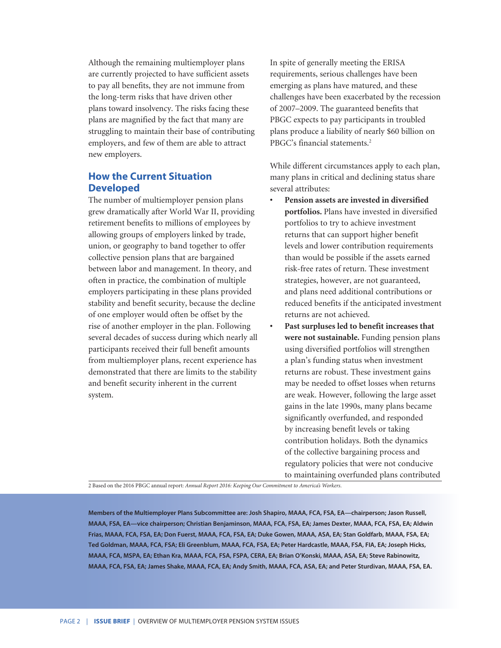Although the remaining multiemployer plans are currently projected to have sufficient assets to pay all benefits, they are not immune from the long-term risks that have driven other plans toward insolvency. The risks facing these plans are magnified by the fact that many are struggling to maintain their base of contributing employers, and few of them are able to attract new employers.

#### **How the Current Situation Developed**

The number of multiemployer pension plans grew dramatically after World War II, providing retirement benefits to millions of employees by allowing groups of employers linked by trade, union, or geography to band together to offer collective pension plans that are bargained between labor and management. In theory, and often in practice, the combination of multiple employers participating in these plans provided stability and benefit security, because the decline of one employer would often be offset by the rise of another employer in the plan. Following several decades of success during which nearly all participants received their full benefit amounts from multiemployer plans, recent experience has demonstrated that there are limits to the stability and benefit security inherent in the current system.

In spite of generally meeting the ERISA requirements, serious challenges have been emerging as plans have matured, and these challenges have been exacerbated by the recession of 2007–2009. The guaranteed benefits that PBGC expects to pay participants in troubled plans produce a liability of nearly \$60 billion on PBGC's financial statements.<sup>2</sup>

While different circumstances apply to each plan, many plans in critical and declining status share several attributes:

- **• Pension assets are invested in diversified portfolios.** Plans have invested in diversified portfolios to try to achieve investment returns that can support higher benefit levels and lower contribution requirements than would be possible if the assets earned risk-free rates of return. These investment strategies, however, are not guaranteed, and plans need additional contributions or reduced benefits if the anticipated investment returns are not achieved.
- **• Past surpluses led to benefit increases that were not sustainable.** Funding pension plans using diversified portfolios will strengthen a plan's funding status when investment returns are robust. These investment gains may be needed to offset losses when returns are weak. However, following the large asset gains in the late 1990s, many plans became significantly overfunded, and responded by increasing benefit levels or taking contribution holidays. Both the dynamics of the collective bargaining process and regulatory policies that were not conducive to maintaining overfunded plans contributed

2 Based on the 2016 PBGC annual report: *Annual Report 2016: Keeping Our Commitment to America's Workers*.

**Members of the Multiemployer Plans Subcommittee are: Josh Shapiro, MAAA, FCA, FSA, EA—chairperson; Jason Russell, MAAA, FSA, EA—vice chairperson; Christian Benjaminson, MAAA, FCA, FSA, EA; James Dexter, MAAA, FCA, FSA, EA; Aldwin Frias, MAAA, FCA, FSA, EA; Don Fuerst, MAAA, FCA, FSA, EA; Duke Gowen, MAAA, ASA, EA; Stan Goldfarb, MAAA, FSA, EA; Ted Goldman, MAAA, FCA, FSA; Eli Greenblum, MAAA, FCA, FSA, EA; Peter Hardcastle, MAAA, FSA, FIA, EA; Joseph Hicks, MAAA, FCA, MSPA, EA; Ethan Kra, MAAA, FCA, FSA, FSPA, CERA, EA; Brian O'Konski, MAAA, ASA, EA; Steve Rabinowitz, MAAA, FCA, FSA, EA; James Shake, MAAA, FCA, EA; Andy Smith, MAAA, FCA, ASA, EA; and Peter Sturdivan, MAAA, FSA, EA.**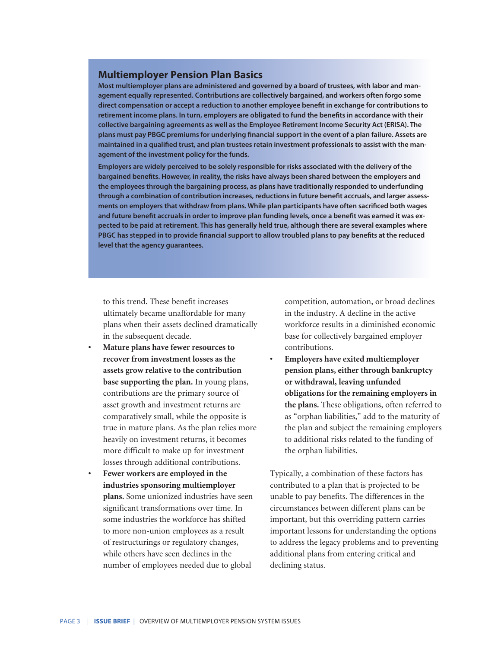#### **Multiemployer Pension Plan Basics**

**Most multiemployer plans are administered and governed by a board of trustees, with labor and management equally represented. Contributions are collectively bargained, and workers often forgo some direct compensation or accept a reduction to another employee benefit in exchange for contributions to retirement income plans. In turn, employers are obligated to fund the benefits in accordance with their collective bargaining agreements as well as the Employee Retirement Income Security Act (ERISA). The plans must pay PBGC premiums for underlying financial support in the event of a plan failure. Assets are maintained in a qualified trust, and plan trustees retain investment professionals to assist with the management of the investment policy for the funds.**

**Employers are widely perceived to be solely responsible for risks associated with the delivery of the bargained benefits. However, in reality, the risks have always been shared between the employers and the employees through the bargaining process, as plans have traditionally responded to underfunding through a combination of contribution increases, reductions in future benefit accruals, and larger assessments on employers that withdraw from plans. While plan participants have often sacrificed both wages and future benefit accruals in order to improve plan funding levels, once a benefit was earned it was expected to be paid at retirement. This has generally held true, although there are several examples where PBGC has stepped in to provide financial support to allow troubled plans to pay benefits at the reduced level that the agency guarantees.**

to this trend. These benefit increases ultimately became unaffordable for many plans when their assets declined dramatically in the subsequent decade.

- **• Mature plans have fewer resources to recover from investment losses as the assets grow relative to the contribution base supporting the plan.** In young plans, contributions are the primary source of asset growth and investment returns are comparatively small, while the opposite is true in mature plans. As the plan relies more heavily on investment returns, it becomes more difficult to make up for investment losses through additional contributions.
- **• Fewer workers are employed in the industries sponsoring multiemployer plans.** Some unionized industries have seen significant transformations over time. In some industries the workforce has shifted to more non-union employees as a result of restructurings or regulatory changes, while others have seen declines in the number of employees needed due to global

competition, automation, or broad declines in the industry. A decline in the active workforce results in a diminished economic base for collectively bargained employer contributions.

**• Employers have exited multiemployer pension plans, either through bankruptcy or withdrawal, leaving unfunded obligations for the remaining employers in the plans.** These obligations, often referred to as "orphan liabilities," add to the maturity of the plan and subject the remaining employers to additional risks related to the funding of the orphan liabilities.

Typically, a combination of these factors has contributed to a plan that is projected to be unable to pay benefits. The differences in the circumstances between different plans can be important, but this overriding pattern carries important lessons for understanding the options to address the legacy problems and to preventing additional plans from entering critical and declining status.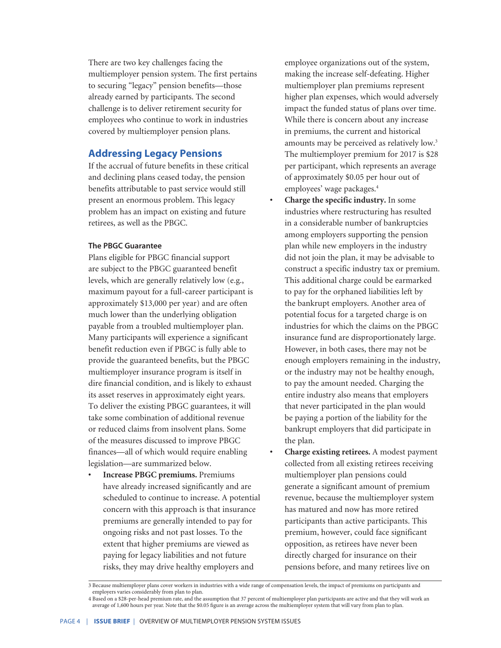There are two key challenges facing the multiemployer pension system. The first pertains to securing "legacy" pension benefits—those already earned by participants. The second challenge is to deliver retirement security for employees who continue to work in industries covered by multiemployer pension plans.

#### **Addressing Legacy Pensions**

If the accrual of future benefits in these critical and declining plans ceased today, the pension benefits attributable to past service would still present an enormous problem. This legacy problem has an impact on existing and future retirees, as well as the PBGC.

#### **The PBGC Guarantee**

Plans eligible for PBGC financial support are subject to the PBGC guaranteed benefit levels, which are generally relatively low (e.g., maximum payout for a full-career participant is approximately \$13,000 per year) and are often much lower than the underlying obligation payable from a troubled multiemployer plan. Many participants will experience a significant benefit reduction even if PBGC is fully able to provide the guaranteed benefits, but the PBGC multiemployer insurance program is itself in dire financial condition, and is likely to exhaust its asset reserves in approximately eight years. To deliver the existing PBGC guarantees, it will take some combination of additional revenue or reduced claims from insolvent plans. Some of the measures discussed to improve PBGC finances—all of which would require enabling legislation—are summarized below.

**• Increase PBGC premiums.** Premiums have already increased significantly and are scheduled to continue to increase. A potential concern with this approach is that insurance premiums are generally intended to pay for ongoing risks and not past losses. To the extent that higher premiums are viewed as paying for legacy liabilities and not future risks, they may drive healthy employers and

employee organizations out of the system, making the increase self-defeating. Higher multiemployer plan premiums represent higher plan expenses, which would adversely impact the funded status of plans over time. While there is concern about any increase in premiums, the current and historical amounts may be perceived as relatively low.<sup>3</sup> The multiemployer premium for 2017 is \$28 per participant, which represents an average of approximately \$0.05 per hour out of employees' wage packages.<sup>4</sup>

- **• Charge the specific industry.** In some industries where restructuring has resulted in a considerable number of bankruptcies among employers supporting the pension plan while new employers in the industry did not join the plan, it may be advisable to construct a specific industry tax or premium. This additional charge could be earmarked to pay for the orphaned liabilities left by the bankrupt employers. Another area of potential focus for a targeted charge is on industries for which the claims on the PBGC insurance fund are disproportionately large. However, in both cases, there may not be enough employers remaining in the industry, or the industry may not be healthy enough, to pay the amount needed. Charging the entire industry also means that employers that never participated in the plan would be paying a portion of the liability for the bankrupt employers that did participate in the plan.
- **• Charge existing retirees.** A modest payment collected from all existing retirees receiving multiemployer plan pensions could generate a significant amount of premium revenue, because the multiemployer system has matured and now has more retired participants than active participants. This premium, however, could face significant opposition, as retirees have never been directly charged for insurance on their pensions before, and many retirees live on

<sup>3</sup> Because multiemployer plans cover workers in industries with a wide range of compensation levels, the impact of premiums on participants and employers varies considerably from plan to plan.

<sup>4</sup> Based on a \$28-per-head premium rate, and the assumption that 37 percent of multiemployer plan participants are active and that they will work an average of 1,600 hours per year. Note that the \$0.05 figure is an average across the multiemployer system that will vary from plan to plan.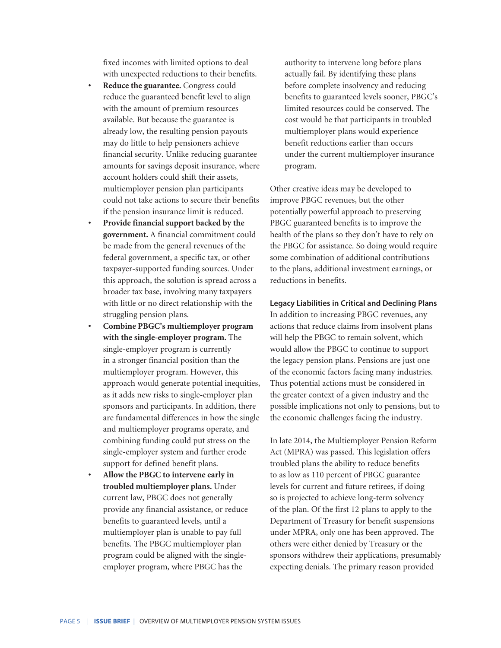fixed incomes with limited options to deal with unexpected reductions to their benefits.

- **• Reduce the guarantee.** Congress could reduce the guaranteed benefit level to align with the amount of premium resources available. But because the guarantee is already low, the resulting pension payouts may do little to help pensioners achieve financial security. Unlike reducing guarantee amounts for savings deposit insurance, where account holders could shift their assets, multiemployer pension plan participants could not take actions to secure their benefits if the pension insurance limit is reduced.
- **• Provide financial support backed by the government.** A financial commitment could be made from the general revenues of the federal government, a specific tax, or other taxpayer-supported funding sources. Under this approach, the solution is spread across a broader tax base, involving many taxpayers with little or no direct relationship with the struggling pension plans.
- **• Combine PBGC's multiemployer program with the single-employer program.** The single-employer program is currently in a stronger financial position than the multiemployer program. However, this approach would generate potential inequities, as it adds new risks to single-employer plan sponsors and participants. In addition, there are fundamental differences in how the single and multiemployer programs operate, and combining funding could put stress on the single-employer system and further erode support for defined benefit plans.
- **• Allow the PBGC to intervene early in troubled multiemployer plans.** Under current law, PBGC does not generally provide any financial assistance, or reduce benefits to guaranteed levels, until a multiemployer plan is unable to pay full benefits. The PBGC multiemployer plan program could be aligned with the singleemployer program, where PBGC has the

authority to intervene long before plans actually fail. By identifying these plans before complete insolvency and reducing benefits to guaranteed levels sooner, PBGC's limited resources could be conserved. The cost would be that participants in troubled multiemployer plans would experience benefit reductions earlier than occurs under the current multiemployer insurance program.

Other creative ideas may be developed to improve PBGC revenues, but the other potentially powerful approach to preserving PBGC guaranteed benefits is to improve the health of the plans so they don't have to rely on the PBGC for assistance. So doing would require some combination of additional contributions to the plans, additional investment earnings, or reductions in benefits.

## **Legacy Liabilities in Critical and Declining Plans**

In addition to increasing PBGC revenues, any actions that reduce claims from insolvent plans will help the PBGC to remain solvent, which would allow the PBGC to continue to support the legacy pension plans. Pensions are just one of the economic factors facing many industries. Thus potential actions must be considered in the greater context of a given industry and the possible implications not only to pensions, but to the economic challenges facing the industry.

In late 2014, the Multiemployer Pension Reform Act (MPRA) was passed. This legislation offers troubled plans the ability to reduce benefits to as low as 110 percent of PBGC guarantee levels for current and future retirees, if doing so is projected to achieve long-term solvency of the plan. Of the first 12 plans to apply to the Department of Treasury for benefit suspensions under MPRA, only one has been approved. The others were either denied by Treasury or the sponsors withdrew their applications, presumably expecting denials. The primary reason provided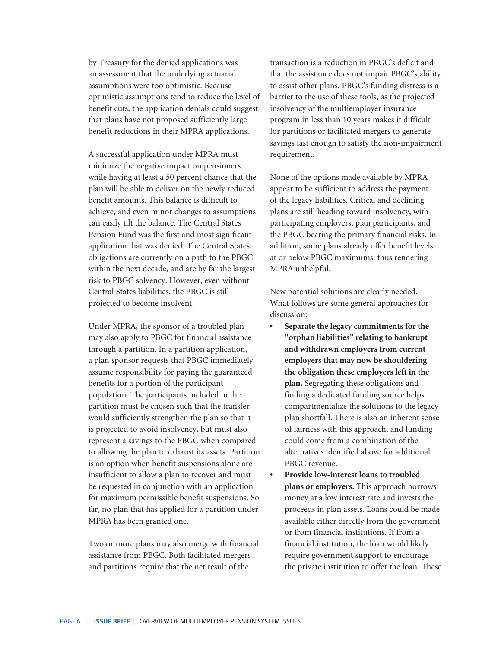by Treasury for the denied applications was an assessment that the underlying actuarial assumptions were too optimistic. Because optimistic assumptions tend to reduce the level of benefit cuts, the application denials could suggest that plans have not proposed sufficiently large benefit reductions in their MPRA applications.

A successful application under MPRA must minimize the negative impact on pensioners while having at least a 50 percent chance that the plan will be able to deliver on the newly reduced benefit amounts. This balance is difficult to achieve, and even minor changes to assumptions can easily tilt the balance. The Central States Pension Fund was the first and most significant application that was denied. The Central States obligations are currently on a path to the PBGC within the next decade, and are by far the largest risk to PBGC solvency. However, even without Central States liabilities, the PBGC is still projected to become insolvent.

Under MPRA, the sponsor of a troubled plan may also apply to PBGC for financial assistance through a partition. In a partition application, a plan sponsor requests that PBGC immediately assume responsibility for paying the guaranteed benefits for a portion of the participant population. The participants included in the partition must be chosen such that the transfer would sufficiently strengthen the plan so that it is projected to avoid insolvency, but must also represent a savings to the PBGC when compared to allowing the plan to exhaust its assets. Partition is an option when benefit suspensions alone are insufficient to allow a plan to recover and must be requested in conjunction with an application for maximum permissible benefit suspensions. So far, no plan that has applied for a partition under MPRA has been granted one.

Two or more plans may also merge with financial assistance from PBGC. Both facilitated mergers and partitions require that the net result of the

transaction is a reduction in PBGC's deficit and that the assistance does not impair PBGC's ability to assist other plans. PBGC's funding distress is a barrier to the use of these tools, as the projected insolvency of the multiemployer insurance program in less than 10 years makes it difficult for partitions or facilitated mergers to generate savings fast enough to satisfy the non-impairment requirement.

None of the options made available by MPRA appear to be sufficient to address the payment of the legacy liabilities. Critical and declining plans are still heading toward insolvency, with participating employers, plan participants, and the PBGC bearing the primary financial risks. In addition, some plans already offer benefit levels at or below PBGC maximums, thus rendering MPRA unhelpful.

New potential solutions are clearly needed. What follows are some general approaches for discussion:

- **• Separate the legacy commitments for the "orphan liabilities" relating to bankrupt and withdrawn employers from current employers that may now be shouldering the obligation these employers left in the plan.** Segregating these obligations and finding a dedicated funding source helps compartmentalize the solutions to the legacy plan shortfall. There is also an inherent sense of fairness with this approach, and funding could come from a combination of the alternatives identified above for additional PBGC revenue.
- **• Provide low-interest loans to troubled plans or employers.** This approach borrows money at a low interest rate and invests the proceeds in plan assets. Loans could be made available either directly from the government or from financial institutions. If from a financial institution, the loan would likely require government support to encourage the private institution to offer the loan. These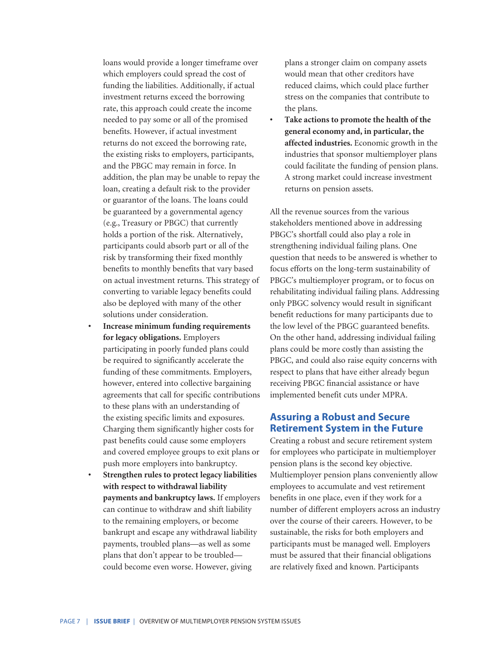loans would provide a longer timeframe over which employers could spread the cost of funding the liabilities. Additionally, if actual investment returns exceed the borrowing rate, this approach could create the income needed to pay some or all of the promised benefits. However, if actual investment returns do not exceed the borrowing rate, the existing risks to employers, participants, and the PBGC may remain in force. In addition, the plan may be unable to repay the loan, creating a default risk to the provider or guarantor of the loans. The loans could be guaranteed by a governmental agency (e.g., Treasury or PBGC) that currently holds a portion of the risk. Alternatively, participants could absorb part or all of the risk by transforming their fixed monthly benefits to monthly benefits that vary based on actual investment returns. This strategy of converting to variable legacy benefits could also be deployed with many of the other solutions under consideration.

- **• Increase minimum funding requirements for legacy obligations.** Employers participating in poorly funded plans could be required to significantly accelerate the funding of these commitments. Employers, however, entered into collective bargaining agreements that call for specific contributions to these plans with an understanding of the existing specific limits and exposures. Charging them significantly higher costs for past benefits could cause some employers and covered employee groups to exit plans or push more employers into bankruptcy.
- **• Strengthen rules to protect legacy liabilities with respect to withdrawal liability payments and bankruptcy laws.** If employers can continue to withdraw and shift liability to the remaining employers, or become bankrupt and escape any withdrawal liability payments, troubled plans—as well as some plans that don't appear to be troubled could become even worse. However, giving

plans a stronger claim on company assets would mean that other creditors have reduced claims, which could place further stress on the companies that contribute to the plans.

**• Take actions to promote the health of the general economy and, in particular, the affected industries.** Economic growth in the industries that sponsor multiemployer plans could facilitate the funding of pension plans. A strong market could increase investment returns on pension assets.

All the revenue sources from the various stakeholders mentioned above in addressing PBGC's shortfall could also play a role in strengthening individual failing plans. One question that needs to be answered is whether to focus efforts on the long-term sustainability of PBGC's multiemployer program, or to focus on rehabilitating individual failing plans. Addressing only PBGC solvency would result in significant benefit reductions for many participants due to the low level of the PBGC guaranteed benefits. On the other hand, addressing individual failing plans could be more costly than assisting the PBGC, and could also raise equity concerns with respect to plans that have either already begun receiving PBGC financial assistance or have implemented benefit cuts under MPRA.

#### **Assuring a Robust and Secure Retirement System in the Future**

Creating a robust and secure retirement system for employees who participate in multiemployer pension plans is the second key objective. Multiemployer pension plans conveniently allow employees to accumulate and vest retirement benefits in one place, even if they work for a number of different employers across an industry over the course of their careers. However, to be sustainable, the risks for both employers and participants must be managed well. Employers must be assured that their financial obligations are relatively fixed and known. Participants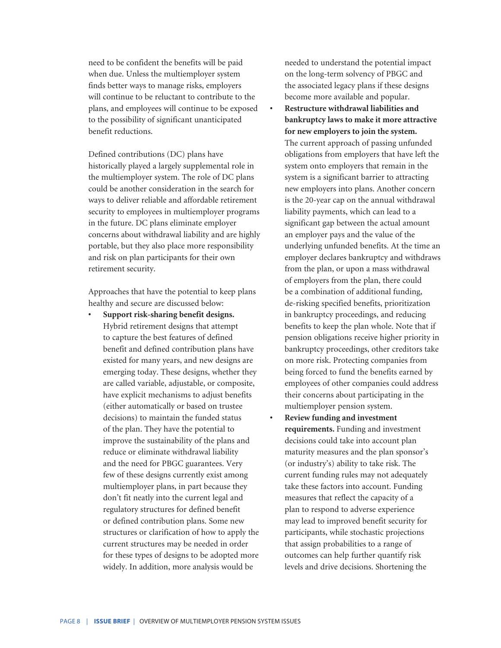need to be confident the benefits will be paid when due. Unless the multiemployer system finds better ways to manage risks, employers will continue to be reluctant to contribute to the plans, and employees will continue to be exposed to the possibility of significant unanticipated benefit reductions.

Defined contributions (DC) plans have historically played a largely supplemental role in the multiemployer system. The role of DC plans could be another consideration in the search for ways to deliver reliable and affordable retirement security to employees in multiemployer programs in the future. DC plans eliminate employer concerns about withdrawal liability and are highly portable, but they also place more responsibility and risk on plan participants for their own retirement security.

Approaches that have the potential to keep plans healthy and secure are discussed below:

**• Support risk-sharing benefit designs.**  Hybrid retirement designs that attempt to capture the best features of defined benefit and defined contribution plans have existed for many years, and new designs are emerging today. These designs, whether they are called variable, adjustable, or composite, have explicit mechanisms to adjust benefits (either automatically or based on trustee decisions) to maintain the funded status of the plan. They have the potential to improve the sustainability of the plans and reduce or eliminate withdrawal liability and the need for PBGC guarantees. Very few of these designs currently exist among multiemployer plans, in part because they don't fit neatly into the current legal and regulatory structures for defined benefit or defined contribution plans. Some new structures or clarification of how to apply the current structures may be needed in order for these types of designs to be adopted more widely. In addition, more analysis would be

needed to understand the potential impact on the long-term solvency of PBGC and the associated legacy plans if these designs become more available and popular.

- **• Restructure withdrawal liabilities and bankruptcy laws to make it more attractive for new employers to join the system.**  The current approach of passing unfunded obligations from employers that have left the system onto employers that remain in the system is a significant barrier to attracting new employers into plans. Another concern is the 20-year cap on the annual withdrawal liability payments, which can lead to a significant gap between the actual amount an employer pays and the value of the underlying unfunded benefits. At the time an employer declares bankruptcy and withdraws from the plan, or upon a mass withdrawal of employers from the plan, there could be a combination of additional funding, de-risking specified benefits, prioritization in bankruptcy proceedings, and reducing benefits to keep the plan whole. Note that if pension obligations receive higher priority in bankruptcy proceedings, other creditors take on more risk. Protecting companies from being forced to fund the benefits earned by employees of other companies could address their concerns about participating in the multiemployer pension system.
- **• Review funding and investment requirements.** Funding and investment decisions could take into account plan maturity measures and the plan sponsor's (or industry's) ability to take risk. The current funding rules may not adequately take these factors into account. Funding measures that reflect the capacity of a plan to respond to adverse experience may lead to improved benefit security for participants, while stochastic projections that assign probabilities to a range of outcomes can help further quantify risk levels and drive decisions. Shortening the